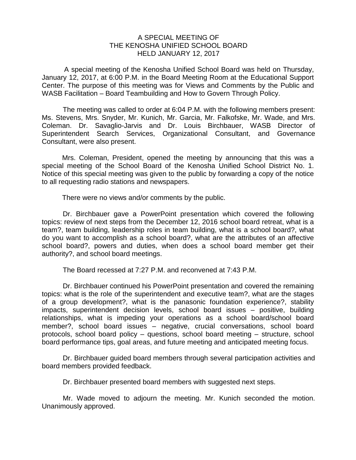## A SPECIAL MEETING OF THE KENOSHA UNIFIED SCHOOL BOARD HELD JANUARY 12, 2017

A special meeting of the Kenosha Unified School Board was held on Thursday, January 12, 2017, at 6:00 P.M. in the Board Meeting Room at the Educational Support Center. The purpose of this meeting was for Views and Comments by the Public and WASB Facilitation – Board Teambuilding and How to Govern Through Policy.

The meeting was called to order at 6:04 P.M. with the following members present: Ms. Stevens, Mrs. Snyder, Mr. Kunich, Mr. Garcia, Mr. Falkofske, Mr. Wade, and Mrs. Coleman. Dr. Savaglio-Jarvis and Dr. Louis Birchbauer, WASB Director of Superintendent Search Services, Organizational Consultant, and Governance Consultant, were also present.

Mrs. Coleman, President, opened the meeting by announcing that this was a special meeting of the School Board of the Kenosha Unified School District No. 1. Notice of this special meeting was given to the public by forwarding a copy of the notice to all requesting radio stations and newspapers.

There were no views and/or comments by the public.

Dr. Birchbauer gave a PowerPoint presentation which covered the following topics: review of next steps from the December 12, 2016 school board retreat, what is a team?, team building, leadership roles in team building, what is a school board?, what do you want to accomplish as a school board?, what are the attributes of an affective school board?, powers and duties, when does a school board member get their authority?, and school board meetings.

The Board recessed at 7:27 P.M. and reconvened at 7:43 P.M.

Dr. Birchbauer continued his PowerPoint presentation and covered the remaining topics: what is the role of the superintendent and executive team?, what are the stages of a group development?, what is the panasonic foundation experience?, stability impacts, superintendent decision levels, school board issues – positive, building relationships, what is impeding your operations as a school board/school board member?, school board issues – negative, crucial conversations, school board protocols, school board policy – questions, school board meeting – structure, school board performance tips, goal areas, and future meeting and anticipated meeting focus.

Dr. Birchbauer guided board members through several participation activities and board members provided feedback.

Dr. Birchbauer presented board members with suggested next steps.

Mr. Wade moved to adjourn the meeting. Mr. Kunich seconded the motion. Unanimously approved.